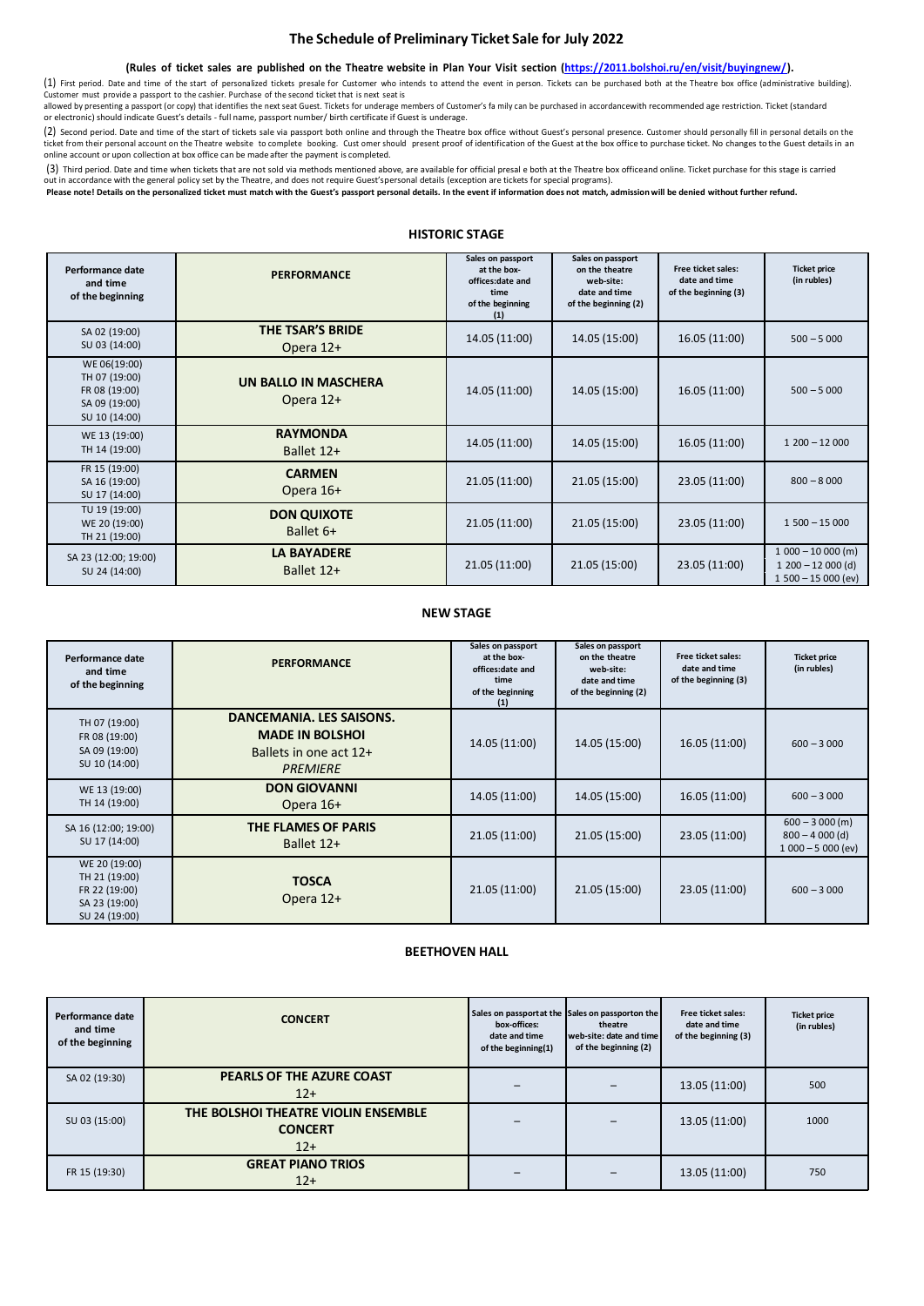### **The Schedule of Preliminary Ticket Sale for July 2022**

#### (Rules of ticket sales are published on the Theatre website in Plan Your Visit section [\(https://2011.bolshoi.ru/en/visit/buyingnew/\)](https://2011.bolshoi.ru/en/visit/buyingnew/).

(1) First period. Date and time of the start of personalized tickets presale for Customer who intends to attend the event in person. Tickets can be purchased both at the Theatre box office (administrative building).<br>Custom

allowed by presenting a passport (or copy) that identifies the next seat Guest. Tickets for underage members of Customer's fa mily can be purchased in accordancewith recommended age restriction. Ticket (standard<br>or electro

(2) Second period. Date and time of the start of tickets sale via passport both online and through the Theatre box office without Guest's personal presence. Customer should personally fill in personal details on the ticket from their personal account on the Theatre website to complete booking. Cust omer should present proof of identification of the Guest at the box office to purchase ticket. No changes to the Guest details in an online account or upon collection at box office can be made after the payment is completed.

(3) Third period. Date and time when tickets that are not sold via methods mentioned above, are available for official presal e both at the Theatre box officeand online. Ticket purchase for this stage is carried

out in accordance with the general policy set by the Theatre, and does not require Guest'spersonal details (exception are tickets for special programs).<br>Please note! Details on the personalized ticket must match with the G

# **HISTORIC STAGE**

| Performance date<br>and time<br>of the beginning                                 | <b>PERFORMANCE</b>                | Sales on passport<br>at the box-<br>offices:date and<br>time<br>of the beginning<br>(1) | Sales on passport<br>on the theatre<br>web-site:<br>date and time<br>of the beginning (2) | Free ticket sales:<br>date and time<br>of the beginning (3) | <b>Ticket price</b><br>(in rubles)                              |
|----------------------------------------------------------------------------------|-----------------------------------|-----------------------------------------------------------------------------------------|-------------------------------------------------------------------------------------------|-------------------------------------------------------------|-----------------------------------------------------------------|
| SA 02 (19:00)<br>SU 03 (14:00)                                                   | THE TSAR'S BRIDE<br>Opera 12+     | 14.05 (11:00)                                                                           | 14.05 (15:00)                                                                             | 16.05 (11:00)                                               | $500 - 5000$                                                    |
| WE 06(19:00)<br>TH 07 (19:00)<br>FR 08 (19:00)<br>SA 09 (19:00)<br>SU 10 (14:00) | UN BALLO IN MASCHERA<br>Opera 12+ | 14.05 (11:00)                                                                           | 14.05 (15:00)                                                                             | 16.05 (11:00)                                               | $500 - 5000$                                                    |
| WE 13 (19:00)<br>TH 14 (19:00)                                                   | <b>RAYMONDA</b><br>Ballet 12+     | 14.05 (11:00)                                                                           | 14.05 (15:00)                                                                             | 16.05 (11:00)                                               | $1200 - 12000$                                                  |
| FR 15 (19:00)<br>SA 16 (19:00)<br>SU 17 (14:00)                                  | <b>CARMEN</b><br>Opera 16+        | 21.05 (11:00)                                                                           | 21.05 (15:00)                                                                             | 23.05 (11:00)                                               | $800 - 8000$                                                    |
| TU 19 (19:00)<br>WE 20 (19:00)<br>TH 21 (19:00)                                  | <b>DON QUIXOTE</b><br>Ballet 6+   | 21.05 (11:00)                                                                           | 21.05 (15:00)                                                                             | 23.05 (11:00)                                               | $1500 - 15000$                                                  |
| SA 23 (12:00; 19:00)<br>SU 24 (14:00)                                            | <b>LA BAYADERE</b><br>Ballet 12+  | 21.05 (11:00)                                                                           | 21.05 (15:00)                                                                             | 23.05 (11:00)                                               | $1000 - 10000$ (m)<br>$1200 - 12000$ (d)<br>$1500 - 15000$ (ev) |

#### **NEW STAGE**

| Performance date<br>and time<br>of the beginning                                  | <b>PERFORMANCE</b>                                                                              | Sales on passport<br>at the box-<br>offices:date and<br>time<br>of the beginning<br>(1) | Sales on passport<br>on the theatre<br>web-site:<br>date and time<br>of the beginning (2) | Free ticket sales:<br>date and time<br>of the beginning (3) | <b>Ticket price</b><br>(in rubles)                         |
|-----------------------------------------------------------------------------------|-------------------------------------------------------------------------------------------------|-----------------------------------------------------------------------------------------|-------------------------------------------------------------------------------------------|-------------------------------------------------------------|------------------------------------------------------------|
| TH 07 (19:00)<br>FR 08 (19:00)<br>SA 09 (19:00)<br>SU 10 (14:00)                  | DANCEMANIA. LES SAISONS.<br><b>MADE IN BOLSHOL</b><br>Ballets in one act 12+<br><b>PREMIERE</b> | 14.05 (11:00)                                                                           | 14.05 (15:00)                                                                             | 16.05 (11:00)                                               | $600 - 3000$                                               |
| WE 13 (19:00)<br>TH 14 (19:00)                                                    | <b>DON GIOVANNI</b><br>Opera 16+                                                                | 14.05 (11:00)                                                                           | 14.05 (15:00)                                                                             | 16.05 (11:00)                                               | $600 - 3000$                                               |
| SA 16 (12:00; 19:00)<br>SU 17 (14:00)                                             | THE FLAMES OF PARIS<br>Ballet 12+                                                               | 21.05 (11:00)                                                                           | 21.05 (15:00)                                                                             | 23.05 (11:00)                                               | $600 - 3000$ (m)<br>$800 - 4000$ (d)<br>$1000 - 5000$ (ev) |
| WE 20 (19:00)<br>TH 21 (19:00)<br>FR 22 (19:00)<br>SA 23 (19:00)<br>SU 24 (19:00) | <b>TOSCA</b><br>Opera 12+                                                                       | 21.05 (11:00)                                                                           | 21.05 (15:00)                                                                             | 23.05 (11:00)                                               | $600 - 3000$                                               |

### **BEETHOVEN HALL**

| Performance date<br>and time<br>of the beginning | <b>CONCERT</b>                                                 | Sales on passportat the Sales on passporton the<br>box-offices:<br>date and time<br>of the beginning(1) | theatre<br>web-site: date and time<br>of the beginning (2) | Free ticket sales:<br>date and time<br>of the beginning (3) | <b>Ticket price</b><br>(in rubles) |
|--------------------------------------------------|----------------------------------------------------------------|---------------------------------------------------------------------------------------------------------|------------------------------------------------------------|-------------------------------------------------------------|------------------------------------|
| SA 02 (19:30)                                    | PEARLS OF THE AZURE COAST<br>$12+$                             |                                                                                                         |                                                            | 13.05 (11:00)                                               | 500                                |
| SU 03 (15:00)                                    | THE BOLSHOI THEATRE VIOLIN ENSEMBLE<br><b>CONCERT</b><br>$12+$ |                                                                                                         |                                                            | 13.05 (11:00)                                               | 1000                               |
| FR 15 (19:30)                                    | <b>GREAT PIANO TRIOS</b><br>$12+$                              |                                                                                                         |                                                            | 13.05 (11:00)                                               | 750                                |